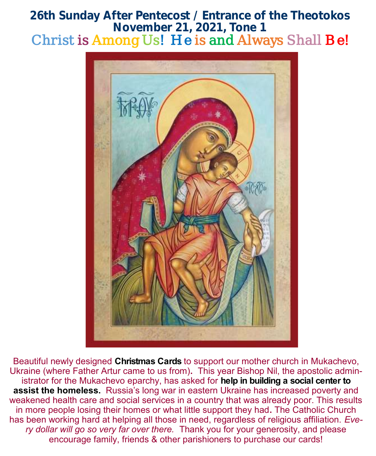# **26th Sunday After Pentecost / Entrance of the Theotokos November 21, 2021, Tone 1**  Christ is Among Us! He is and Always Shall Be!



Beautiful newly designed **Christmas Cards** to support our mother church in Mukachevo, Ukraine (where Father Artur came to us from)**.** This year Bishop Nil, the apostolic administrator for the Mukachevo eparchy, has asked for **help in building a social center to assist the homeless.** Russia's long war in eastern Ukraine has increased poverty and weakened health care and social services in a country that was already poor. This results in more people losing their homes or what little support they had**.** The Catholic Church has been working hard at helping all those in need, regardless of religious affiliation. *Every dollar will go so very far over there.* Thank you for your generosity, and please encourage family, friends & other parishioners to purchase our cards!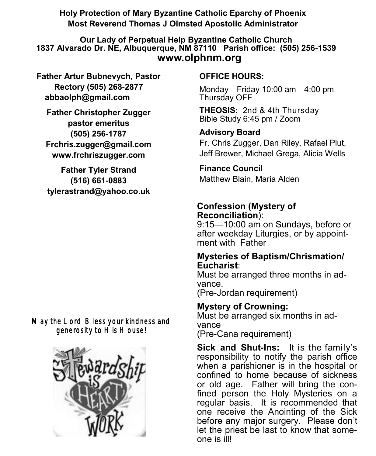**Holy Protection of Mary Byzantine Catholic Eparchy of Phoenix Most Reverend Thomas J Olmsted Apostolic Administrator** 

**Our Lady of Perpetual Help Byzantine Catholic Church 1837 Alvarado Dr. NE, Albuquerque, NM 87110 Parish office: (505) 256-1539 www.olphnm.org**

**Father Artur Bubnevych, Pastor Rectory (505) 268-2877 abbaolph@gmail.com** 

**Father Christopher Zugger pastor emeritus (505) 256-1787 Frchris.zugger@gmail.com www.frchriszugger.com** 

**Father Tyler Strand (516) 661-0883 tylerastrand@yahoo.co.uk**

# May the Lord Bless your kindness and generosity to His House!



## **OFFICE HOURS:**

Monday—Friday 10:00 am—4:00 pm Thursday OFF

**THEOSIS:** 2nd & 4th Thursday Bible Study 6:45 pm / Zoom

# **Advisory Board**

Fr. Chris Zugger, Dan Riley, Rafael Plut, Jeff Brewer, Michael Grega, Alicia Wells

# **Finance Council**

Matthew Blain, Maria Alden

# **Confession (Mystery of Reconciliation**):

9:15—10:00 am on Sundays, before or after weekday Liturgies, or by appointment with Father

### **Mysteries of Baptism/Chrismation/ Eucharist**:

Must be arranged three months in advance.

(Pre-Jordan requirement)

# **Mystery of Crowning:**

Must be arranged six months in advance (Pre-Cana requirement)

**Sick and Shut-Ins:** It is the family's responsibility to notify the parish office when a parishioner is in the hospital or confined to home because of sickness or old age. Father will bring the confined person the Holy Mysteries on a regular basis. It is recommended that one receive the Anointing of the Sick before any major surgery. Please don't let the priest be last to know that someone is ill!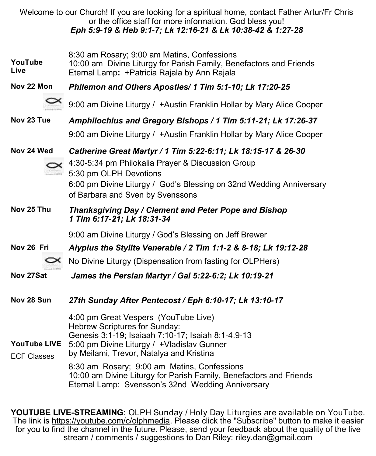|                                           | Welcome to our Church! If you are looking for a spiritual home, contact Father Artur/Fr Chris<br>or the office staff for more information. God bless you!<br>Eph 5:9-19 & Heb 9:1-7; Lk 12:16-21 & Lk 10:38-42 & 1:27-28                                                                                                                                                                        |
|-------------------------------------------|-------------------------------------------------------------------------------------------------------------------------------------------------------------------------------------------------------------------------------------------------------------------------------------------------------------------------------------------------------------------------------------------------|
| YouTube<br>Live                           | 8:30 am Rosary; 9:00 am Matins, Confessions<br>10:00 am Divine Liturgy for Parish Family, Benefactors and Friends<br>Eternal Lamp: + Patricia Rajala by Ann Rajala                                                                                                                                                                                                                              |
| Nov 22 Mon                                | Philemon and Others Apostles/ 1 Tim 5:1-10; Lk 17:20-25                                                                                                                                                                                                                                                                                                                                         |
|                                           | 9:00 am Divine Liturgy / +Austin Franklin Hollar by Mary Alice Cooper                                                                                                                                                                                                                                                                                                                           |
| Nov 23 Tue                                | Amphilochius and Gregory Bishops / 1 Tim 5:11-21; Lk 17:26-37                                                                                                                                                                                                                                                                                                                                   |
|                                           | 9:00 am Divine Liturgy / +Austin Franklin Hollar by Mary Alice Cooper                                                                                                                                                                                                                                                                                                                           |
| Nov 24 Wed                                | Catherine Great Martyr / 1 Tim 5:22-6:11; Lk 18:15-17 & 26-30<br>4:30-5:34 pm Philokalia Prayer & Discussion Group<br>5:30 pm OLPH Devotions<br>6:00 pm Divine Liturgy / God's Blessing on 32nd Wedding Anniversary<br>of Barbara and Sven by Svenssons                                                                                                                                         |
| Nov 25 Thu                                | Thanksgiving Day / Clement and Peter Pope and Bishop<br>1 Tim 6:17-21; Lk 18:31-34                                                                                                                                                                                                                                                                                                              |
|                                           | 9:00 am Divine Liturgy / God's Blessing on Jeff Brewer                                                                                                                                                                                                                                                                                                                                          |
| Nov 26 Fri                                | Alypius the Stylite Venerable / 2 Tim 1:1-2 & 8-18; Lk 19:12-28                                                                                                                                                                                                                                                                                                                                 |
|                                           | No Divine Liturgy (Dispensation from fasting for OLPHers)                                                                                                                                                                                                                                                                                                                                       |
| Nov 27Sat                                 | James the Persian Martyr / Gal 5:22-6:2; Lk 10:19-21                                                                                                                                                                                                                                                                                                                                            |
| Nov 28 Sun                                | 27th Sunday After Pentecost / Eph 6:10-17; Lk 13:10-17                                                                                                                                                                                                                                                                                                                                          |
| <b>YouTube LIVE</b><br><b>ECF Classes</b> | 4:00 pm Great Vespers (YouTube Live)<br>Hebrew Scriptures for Sunday:<br>Genesis 3:1-19; Isaiaah 7:10-17; Isaiah 8:1-4.9-13<br>5:00 pm Divine Liturgy / +Vladislav Gunner<br>by Meilami, Trevor, Natalya and Kristina<br>8:30 am Rosary; 9:00 am Matins, Confessions<br>10:00 am Divine Liturgy for Parish Family, Benefactors and Friends<br>Eternal Lamp: Svensson's 32nd Wedding Anniversary |

**YOUTUBE LIVE-STREAMING**: OLPH Sunday / Holy Day Liturgies are available on YouTube. The link is [https://youtube.com/c/olphmedia.](https://youtube.com/c/olphmedia) Please click the "Subscribe" button to make it easier for you to find the channel in the future. Please, send your feedback about the quality of the live stream / comments / suggestions to Dan Riley: [riley.dan@gmail.com](mailto:riley.dan@gmail.com)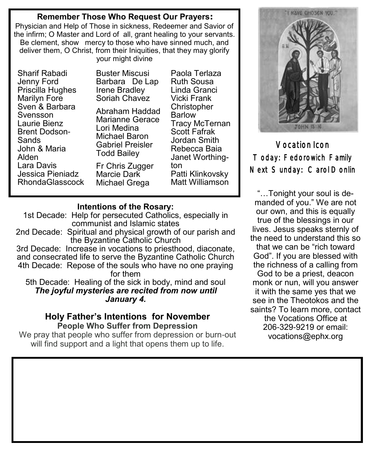#### **Remember Those Who Request Our Prayers:**

Physician and Help of Those in sickness, Redeemer and Savior of the infirm; O Master and Lord of all, grant healing to your servants. Be clement, show mercy to those who have sinned much, and deliver them, O Christ, from their Iniquities, that they may glorify your might divine

Sharif Rabadi Jenny Ford Priscilla Hughes Marilyn Fore Sven & Barbara Svensson Laurie Bienz Brent Dodson-Sands John & Maria Alden Lara Davis Jessica Pieniadz RhondaGlasscock Buster Miscusi Barbara De Lap Irene Bradley Soriah Chavez

Abraham Haddad Marianne Gerace Lori Medina Michael Baron Gabriel Preisler Todd Bailey Fr Chris Zugger Marcie Dark Michael Grega

Paola Terlaza Ruth Sousa Linda Granci Vicki Frank **Christopher** Barlow Tracy McTernan Scott Fafrak Jordan Smith Rebecca Baia Janet Worthington Patti Klinkovsky Matt Williamson

#### **Intentions of the Rosary:**

1st Decade: Help for persecuted Catholics, especially in communist and Islamic states

2nd Decade: Spiritual and physical growth of our parish and the Byzantine Catholic Church

3rd Decade: Increase in vocations to priesthood, diaconate, and consecrated life to serve the Byzantine Catholic Church 4th Decade: Repose of the souls who have no one praying for them

5th Decade: Healing of the sick in body, mind and soul *The joyful mysteries are recited from now until January 4.*

#### **Holy Father's Intentions for November People Who Suffer from Depression**

We pray that people who suffer from depression or burn-out will find support and a light that opens them up to life.



Vocation Icon Today: Fedorowich Family Next Sunday: Carol Donlin

"…Tonight your soul is demanded of you." We are not our own, and this is equally true of the blessings in our lives. Jesus speaks sternly of the need to understand this so that we can be "rich toward God". If you are blessed with the richness of a calling from God to be a priest, deacon monk or nun, will you answer it with the same yes that we see in the Theotokos and the saints? To learn more, contact the Vocations Office at 206-329-9219 or email: [vocations@ephx.org](mailto:vocations@ephx.org%20)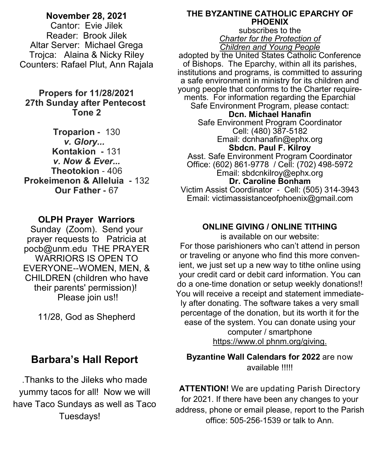# **November 28, 2021**

Cantor: Evie Jilek Reader: Brook Jilek Altar Server: Michael Grega Trojca: Alaina & Nicky Riley Counters: Rafael Plut, Ann Rajala

### **Propers for 11/28/2021 27th Sunday after Pentecost Tone 2**

**Troparion -** 130 *v. Glory...*  **Kontakion -** 131 *v. Now & Ever...* **Theotokion** - 406 **Prokeimenon & Alleluia -** 132 **Our Father -** 67

# **OLPH Prayer Warriors**

Sunday (Zoom). Send your prayer requests to Patricia at pocb@unm.edu THE PRAYER WARRIORS IS OPEN TO EVERYONE--WOMEN, MEN, & CHILDREN (children who have their parents' permission)! Please join us!!

11/28, God as Shepherd

# **Barbara's Hall Report**

.Thanks to the Jileks who made yummy tacos for all! Now we will have Taco Sundays as well as Taco Tuesdays!

#### **THE BYZANTINE CATHOLIC EPARCHY OF PHOENIX**

subscribes to the *Charter for the Protection of Children and Young People*

adopted by the United States Catholic Conference of Bishops. The Eparchy, within all its parishes, institutions and programs, is committed to assuring a safe environment in ministry for its children and young people that conforms to the Charter requirements. For information regarding the Eparchial Safe Environment Program, please contact: **Dcn. Michael Hanafin** Safe Environment Program Coordinator Cell: (480) 387-5182 Email: dcnhanafin@ephx.org **Sbdcn. Paul F. Kilroy** Asst. Safe Environment Program Coordinator Office: (602) 861-9778 / Cell: (702) 498-5972 Email: [sbdcnkilroy@ephx.org](mailto:sbdcnkilroy@ephx.org) **Dr. Caroline Bonham** Victim Assist Coordinator - Cell: (505) 314-3943 Email: [victimassistanceofphoenix@gmail.com](mailto:victimassistanceofphoenix@gmail.com)

### **ONLINE GIVING / ONLINE TITHING**

is available on our website: For those parishioners who can't attend in person or traveling or anyone who find this more convenient, we just set up a new way to tithe online using your credit card or debit card information. You can do a one-time donation or setup weekly donations!! You will receive a receipt and statement immediately after donating. The software takes a very small percentage of the donation, but its worth it for the ease of the system. You can donate using your computer / smartphone [https://www.ol phnm.org/giving.](https://www.olphnm.org/giving) 

**Byzantine Wall Calendars for 2022** are now available !!!!!

**ATTENTION!** We are updating Parish Directory for 2021. If there have been any changes to your address, phone or email please, report to the Parish office: 505-256-1539 or talk to Ann.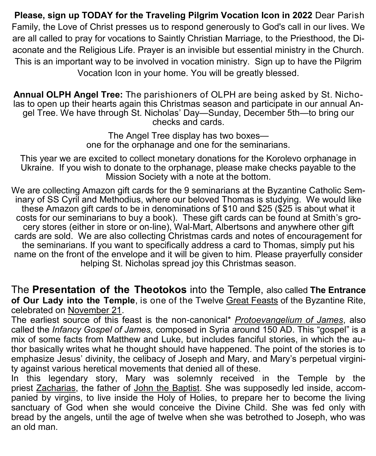**Please, sign up TODAY for the Traveling Pilgrim Vocation Icon in 2022** Dear Parish Family, the Love of Christ presses us to respond generously to God's call in our lives. We are all called to pray for vocations to Saintly Christian Marriage, to the Priesthood, the Diaconate and the Religious Life. Prayer is an invisible but essential ministry in the Church. This is an important way to be involved in vocation ministry. Sign up to have the Pilgrim Vocation Icon in your home. You will be greatly blessed.

**Annual OLPH Angel Tree:** The parishioners of OLPH are being asked by St. Nicholas to open up their hearts again this Christmas season and participate in our annual Angel Tree. We have through St. Nicholas' Day—Sunday, December 5th—to bring our checks and cards.

> The Angel Tree display has two boxes one for the orphanage and one for the seminarians.

This year we are excited to collect monetary donations for the Korolevo orphanage in Ukraine. If you wish to donate to the orphanage, please make checks payable to the Mission Society with a note at the bottom.

We are collecting Amazon gift cards for the 9 seminarians at the Byzantine Catholic Seminary of SS Cyril and Methodius, where our beloved Thomas is studying. We would like these Amazon gift cards to be in denominations of \$10 and \$25 (\$25 is about what it costs for our seminarians to buy a book). These gift cards can be found at Smith's grocery stores (either in store or on-line), Wal-Mart, Albertsons and anywhere other gift cards are sold. We are also collecting Christmas cards and notes of encouragement for the seminarians. If you want to specifically address a card to Thomas, simply put his name on the front of the envelope and it will be given to him. Please prayerfully consider helping St. Nicholas spread joy this Christmas season.

The **Presentation of the Theotokos** into the Temple, also called **The Entrance of Our Lady into the Temple**, is one of the Twelve [Great Feasts](http://orthodoxwiki.org/Great_Feasts) of the Byzantine Rite, celebrated on [November 21.](http://orthodoxwiki.org/November_21)

The earliest source of this feast is the non-canonical\* *[Protoevangelium of James](http://orthodoxwiki.org/Protoevangelion_of_James)*, also called the *Infancy Gospel of James,* composed in Syria around 150 AD. This "gospel" is a mix of some facts from Matthew and Luke, but includes fanciful stories, in which the author basically writes what he thought should have happened. The point of the stories is to emphasize Jesus' divinity, the celibacy of Joseph and Mary, and Mary's perpetual virginity against various heretical movements that denied all of these.

In this legendary story, Mary was solemnly received in the Temple by the priest [Zacharias,](http://orthodoxwiki.org/Zacharias) the father of [John the Baptist.](http://orthodoxwiki.org/John_the_Baptist) She was supposedly led inside, accompanied by virgins, to live inside the Holy of Holies, to prepare her to become the living sanctuary of God when she would conceive the Divine Child. She was fed only with bread by the angels, until the age of twelve when she was betrothed to Joseph, who was an old man.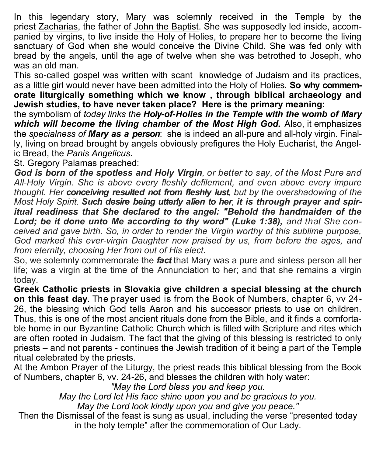In this legendary story, Mary was solemnly received in the Temple by the priest [Zacharias,](http://orthodoxwiki.org/Zacharias) the father of [John the Baptist.](http://orthodoxwiki.org/John_the_Baptist) She was supposedly led inside, accompanied by virgins, to live inside the Holy of Holies, to prepare her to become the living sanctuary of God when she would conceive the Divine Child. She was fed only with bread by the angels, until the age of twelve when she was betrothed to Joseph, who was an old man.

This so-called gospel was written with scant knowledge of Judaism and its practices, as a little girl would never have been admitted into the Holy of Holies. **So why commemorate liturgically something which we know , through biblical archaeology and Jewish studies, to have never taken place? Here is the primary meaning:** 

the symbolism of *today links the Holy-of-Holies in the Temple with the womb of Mary which will become the living chamber of the Most High God.* Also, it emphasizes the *specialness of Mary as a person*: she is indeed an all-pure and all-holy virgin. Finally, living on bread brought by angels obviously prefigures the Holy Eucharist, the Angelic Bread, the *Panis Angelicus*.

St. Gregory Palamas preached:

*God is born of the spotless and Holy Virgin, or better to say, of the Most Pure and All-Holy Virgin. She is above every fleshly defilement, and even above every impure thought. Her conceiving resulted not from fleshly lust, but by the overshadowing of the Most Holy Spirit. Such desire being utterly alien to her, it is through prayer and spiritual readiness that She declared to the angel: "Behold the handmaiden of the*  Lord; be it done unto Me according to thy word" (Luke 1:38), and that She con*ceived and gave birth. So, in order to render the Virgin worthy of this sublime purpose, God marked this ever-virgin Daughter now praised by us, from before the ages, and from eternity, choosing Her from out of His elect.*

So, we solemnly commemorate the *fact* that Mary was a pure and sinless person all her life; was a virgin at the time of the Annunciation to her; and that she remains a virgin today.

**Greek Catholic priests in Slovakia give children a special blessing at the church on this feast day.** The prayer used is from the Book of Numbers, chapter 6, vv 24- 26, the blessing which God tells Aaron and his successor priests to use on children. Thus, this is one of the most ancient rituals done from the Bible, and it finds a comfortable home in our Byzantine Catholic Church which is filled with Scripture and rites which are often rooted in Judaism. The fact that the giving of this blessing is restricted to only priests – and not parents - continues the Jewish tradition of it being a part of the Temple ritual celebrated by the priests.

At the Ambon Prayer of the Liturgy, the priest reads this biblical blessing from the Book of Numbers, chapter 6, vv. 24-26, and blesses the children with holy water:

*"May the Lord bless you and keep you.*

*May the Lord let His face shine upon you and be gracious to you.*

*May the Lord look kindly upon you and give you peace."*

Then the Dismissal of the feast is sung as usual, including the verse "presented today in the holy temple" after the commemoration of Our Lady.